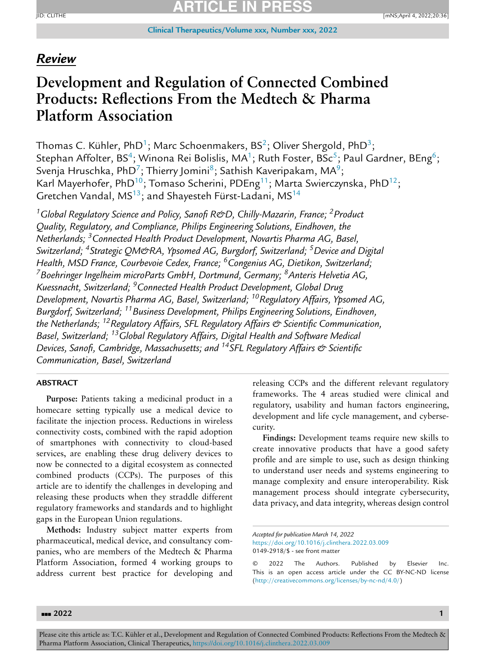### *Review*

# **Development and Regulation of Connected Combined Products: Reflections From the Medtech & Pharma Platform Association**

Thomas C. Kühler, PhD<sup>1</sup>; Marc Schoenmakers, BS<sup>2</sup>; Oliver Shergold, PhD<sup>3</sup>; Stephan Affolter, BS<sup>4</sup>; Winona Rei Bolislis, MA<sup>1</sup>; Ruth Foster, BSc<sup>5</sup>; Paul Gardner, BEng<sup>6</sup>; Svenja Hruschka, PhD<sup>7</sup>; Thierry Jomini<sup>8</sup>; Sathish Kaveripakam, MA<sup>9</sup>; Karl Mayerhofer, PhD<sup>10</sup>; Tomaso Scherini, PDEng<sup>11</sup>; Marta Swierczynska, PhD<sup>12</sup>; Gretchen Vandal, MS<sup>13</sup>; and Shayesteh Fürst-Ladani, MS<sup>14</sup>

*1Global Regulatory Science and Policy, Sanofi R&D, Chilly-Mazarin, France; 2Product Quality, Regulatory, and Compliance, Philips Engineering Solutions, Eindhoven, the Netherlands; 3Connected Health Product Development, Novartis Pharma AG, Basel, Switzerland; 4Strategic QM&RA, Ypsomed AG, Burgdorf, Switzerland; 5Device and Digital Health, MSD France, Courbevoie Cedex, France; 6Congenius AG, Dietikon, Switzerland; 7Boehringer Ingelheim microParts GmbH, Dortmund, Germany; 8Anteris Helvetia AG, Kuessnacht, Switzerland; 9Connected Health Product Development, Global Drug Development, Novartis Pharma AG, Basel, Switzerland; 10Regulatory Affairs, Ypsomed AG, Burgdorf, Switzerland; 11Business Development, Philips Engineering Solutions, Eindhoven, the Netherlands; 12Regulatory Affairs, SFL Regulatory Affairs & Scientific Communication, Basel, Switzerland; 13Global Regulatory Affairs, Digital Health and Software Medical Devices, Sanofi, Cambridge, Massachusetts; and 14SFL Regulatory Affairs & Scientific Communication, Basel, Switzerland*

### **ABSTRACT**

**Purpose:** Patients taking a medicinal product in a homecare setting typically use a medical device to facilitate the injection process. Reductions in wireless connectivity costs, combined with the rapid adoption of smartphones with connectivity to cloud-based services, are enabling these drug delivery devices to now be connected to a digital ecosystem as connected combined products (CCPs). The purposes of this article are to identify the challenges in developing and releasing these products when they straddle different regulatory frameworks and standards and to highlight gaps in the European Union regulations.

**Methods:** Industry subject matter experts from pharmaceutical, medical device, and consultancy companies, who are members of the Medtech & Pharma Platform Association, formed 4 working groups to address current best practice for developing and releasing CCPs and the different relevant regulatory frameworks. The 4 areas studied were clinical and regulatory, usability and human factors engineering, development and life cycle management, and cybersecurity.

**Findings:** Development teams require new skills to create innovative products that have a good safety profile and are simple to use, such as design thinking to understand user needs and systems engineering to manage complexity and ensure interoperability. Risk management process should integrate cybersecurity, data privacy, and data integrity, whereas design control

*Accepted for publication March 14, 2022*

<https://doi.org/10.1016/j.clinthera.2022.03.009> 0149-2918/\$ - see front matter

<sup>© 2022</sup> The Authors. Published by Elsevier Inc. This is an open access article under the CC BY-NC-ND license [\(http://creativecommons.org/licenses/by-nc-nd/4.0/\)](http://creativecommons.org/licenses/by-nc-nd/4.0/)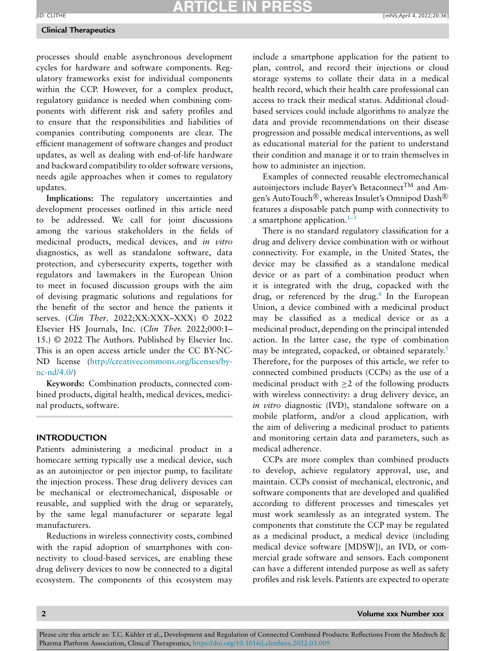#### **Clinical Therapeutics**

processes should enable asynchronous development cycles for hardware and software components. Regulatory frameworks exist for individual components within the CCP. However, for a complex product, regulatory guidance is needed when combining components with different risk and safety profiles and to ensure that the responsibilities and liabilities of companies contributing components are clear. The efficient management of software changes and product updates, as well as dealing with end-of-life hardware and backward compatibility to older software versions, needs agile approaches when it comes to regulatory updates.

**Implications:** The regulatory uncertainties and development processes outlined in this article need to be addressed. We call for joint discussions among the various stakeholders in the fields of medicinal products, medical devices, and *in vitro* diagnostics, as well as standalone software, data protection, and cybersecurity experts, together with regulators and lawmakers in the European Union to meet in focused discussion groups with the aim of devising pragmatic solutions and regulations for the benefit of the sector and hence the patients it serves. (*Clin Ther*. 2022;XX:XXX–XXX) © 2022 Elsevier HS Journals, Inc. (*Clin Ther.* 2022;000:1– 15.) © 2022 The Authors. Published by Elsevier Inc. This is an open access article under the CC BY-NC-ND license [\(http://creativecommons.org/licenses/by](http://creativecommons.org/licenses/by-nc-nd/4.0/)nc-nd/4.0/)

**Keywords:** Combination products, connected combined products, digital health, medical devices, medicinal products, software.

### **INTRODUCTION**

Patients administering a medicinal product in a homecare setting typically use a medical device, such as an autoinjector or pen injector pump, to facilitate the injection process. These drug delivery devices can be mechanical or electromechanical, disposable or reusable, and supplied with the drug or separately, by the same legal manufacturer or separate legal manufacturers.

Reductions in wireless connectivity costs, combined with the rapid adoption of smartphones with connectivity to cloud-based services, are enabling these drug delivery devices to now be connected to a digital ecosystem. The components of this ecosystem may include a smartphone application for the patient to plan, control, and record their injections or cloud storage systems to collate their data in a medical health record, which their health care professional can access to track their medical status. Additional cloudbased services could include algorithms to analyze the data and provide recommendations on their disease progression and possible medical interventions, as well as educational material for the patient to understand their condition and manage it or to train themselves in how to administer an injection.

Examples of connected reusable electromechanical autoinjectors include Bayer's Betaconnect<sup>TM</sup> and Amgen's AutoTouch®, whereas Insulet's Omnipod Dash® features a disposable patch pump with connectivity to a smartphone application. $1-3$ 

There is no standard regulatory classification for a drug and delivery device combination with or without connectivity. For example, in the United States, the device may be classified as a standalone medical device or as part of a combination product when it is integrated with the drug, copacked with the drug, or referenced by the drug.<sup>4</sup> In the European Union, a device combined with a medicinal product may be classified as a medical device or as a medicinal product, depending on the principal intended action. In the latter case, the type of combination may be integrated, copacked, or obtained separately.<sup>5</sup> Therefore, for the purposes of this article, we refer to connected combined products (CCPs) as the use of a medicinal product with  $\geq 2$  of the following products with wireless connectivity: a drug delivery device, an *in vitro* diagnostic (IVD), standalone software on a mobile platform, and/or a cloud application, with the aim of delivering a medicinal product to patients and monitoring certain data and parameters, such as medical adherence.

CCPs are more complex than combined products to develop, achieve regulatory approval, use, and maintain. CCPs consist of mechanical, electronic, and software components that are developed and qualified according to different processes and timescales yet must work seamlessly as an integrated system. The components that constitute the CCP may be regulated as a medicinal product, a medical device (including medical device software [MDSW]), an IVD, or commercial grade software and sensors. Each component can have a different intended purpose as well as safety profiles and risk levels. Patients are expected to operate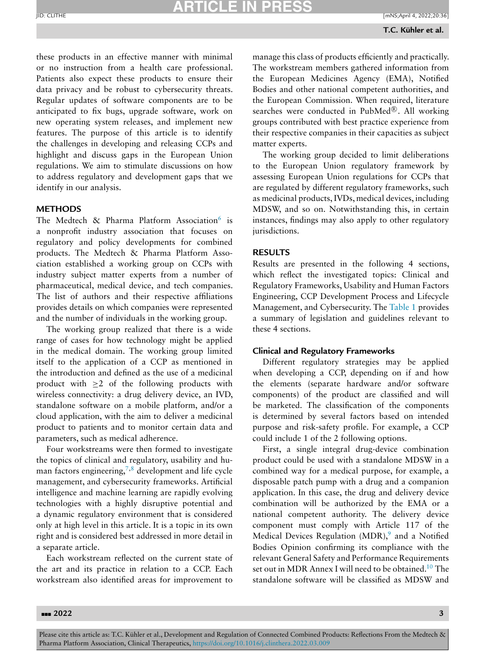these products in an effective manner with minimal or no instruction from a health care professional. Patients also expect these products to ensure their data privacy and be robust to cybersecurity threats. Regular updates of software components are to be anticipated to fix bugs, upgrade software, work on new operating system releases, and implement new features. The purpose of this article is to identify the challenges in developing and releasing CCPs and highlight and discuss gaps in the European Union regulations. We aim to stimulate discussions on how to address regulatory and development gaps that we identify in our analysis.

### **METHODS**

The Medtech & Pharma Platform Association<sup>[6](#page-13-0)</sup> is a nonprofit industry association that focuses on regulatory and policy developments for combined products. The Medtech & Pharma Platform Association established a working group on CCPs with industry subject matter experts from a number of pharmaceutical, medical device, and tech companies. The list of authors and their respective affiliations provides details on which companies were represented and the number of individuals in the working group.

The working group realized that there is a wide range of cases for how technology might be applied in the medical domain. The working group limited itself to the application of a CCP as mentioned in the introduction and defined as the use of a medicinal product with  $\geq 2$  of the following products with wireless connectivity: a drug delivery device, an IVD, standalone software on a mobile platform, and/or a cloud application, with the aim to deliver a medicinal product to patients and to monitor certain data and parameters, such as medical adherence.

Four workstreams were then formed to investigate the topics of clinical and regulatory, usability and human factors engineering,  $7,8$  development and life cycle management, and cybersecurity frameworks. Artificial intelligence and machine learning are rapidly evolving technologies with a highly disruptive potential and a dynamic regulatory environment that is considered only at high level in this article. It is a topic in its own right and is considered best addressed in more detail in a separate article.

Each workstream reflected on the current state of the art and its practice in relation to a CCP. Each workstream also identified areas for improvement to

manage this class of products efficiently and practically. The workstream members gathered information from the European Medicines Agency (EMA), Notified Bodies and other national competent authorities, and the European Commission. When required, literature searches were conducted in PubMed®. All working groups contributed with best practice experience from their respective companies in their capacities as subject matter experts.

The working group decided to limit deliberations to the European Union regulatory framework by assessing European Union regulations for CCPs that are regulated by different regulatory frameworks, such as medicinal products, IVDs, medical devices, including MDSW, and so on. Notwithstanding this, in certain instances, findings may also apply to other regulatory jurisdictions.

### **RESULTS**

Results are presented in the following 4 sections, which reflect the investigated topics: Clinical and Regulatory Frameworks, Usability and Human Factors Engineering, CCP Development Process and Lifecycle Management, and Cybersecurity. The [Table](#page-3-0) 1 provides a summary of legislation and guidelines relevant to these 4 sections.

### **Clinical and Regulatory Frameworks**

Different regulatory strategies may be applied when developing a CCP, depending on if and how the elements (separate hardware and/or software components) of the product are classified and will be marketed. The classification of the components is determined by several factors based on intended purpose and risk-safety profile. For example, a CCP could include 1 of the 2 following options.

First, a single integral drug-device combination product could be used with a standalone MDSW in a combined way for a medical purpose, for example, a disposable patch pump with a drug and a companion application. In this case, the drug and delivery device combination will be authorized by the EMA or a national competent authority. The delivery device component must comply with Article 117 of the Medical Devices Regulation  $(MDR)$ , and a Notified Bodies Opinion confirming its compliance with the relevant General Safety and Performance Requirements set out in MDR Annex I will need to be obtained.<sup>10</sup> The standalone software will be classified as MDSW and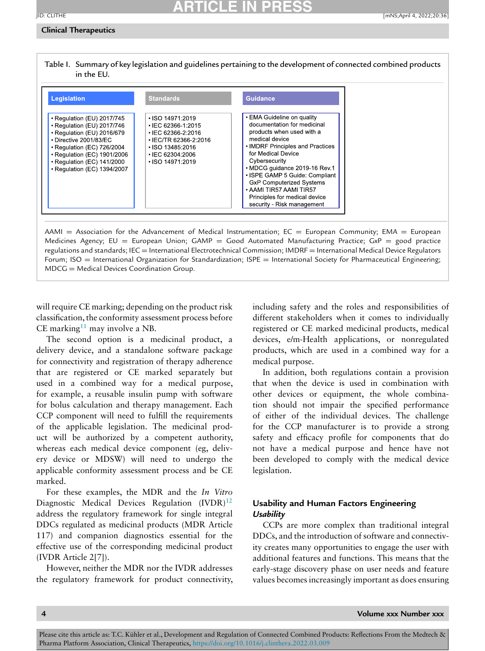#### <span id="page-3-0"></span>**Clinical Therapeutics**



will require CE marking; depending on the product risk classification, the conformity assessment process before CE marking<sup>[11](#page-13-0)</sup> may involve a NB.

MDCG = Medical Devices Coordination Group.

The second option is a medicinal product, a delivery device, and a standalone software package for connectivity and registration of therapy adherence that are registered or CE marked separately but used in a combined way for a medical purpose, for example, a reusable insulin pump with software for bolus calculation and therapy management. Each CCP component will need to fulfill the requirements of the applicable legislation. The medicinal product will be authorized by a competent authority, whereas each medical device component (eg, delivery device or MDSW) will need to undergo the applicable conformity assessment process and be CE marked.

For these examples, the MDR and the *In Vitro* Diagnostic Medical Devices Regulation (IVDR)<sup>[12](#page-13-0)</sup> address the regulatory framework for single integral DDCs regulated as medicinal products (MDR Article 117) and companion diagnostics essential for the effective use of the corresponding medicinal product (IVDR Article 2[7]).

However, neither the MDR nor the IVDR addresses the regulatory framework for product connectivity, including safety and the roles and responsibilities of different stakeholders when it comes to individually registered or CE marked medicinal products, medical devices, e/m-Health applications, or nonregulated products, which are used in a combined way for a medical purpose.

In addition, both regulations contain a provision that when the device is used in combination with other devices or equipment, the whole combination should not impair the specified performance of either of the individual devices. The challenge for the CCP manufacturer is to provide a strong safety and efficacy profile for components that do not have a medical purpose and hence have not been developed to comply with the medical device legislation.

### **Usability and Human Factors Engineering** *Usability*

CCPs are more complex than traditional integral DDCs, and the introduction of software and connectivity creates many opportunities to engage the user with additional features and functions. This means that the early-stage discovery phase on user needs and feature values becomes increasingly important as does ensuring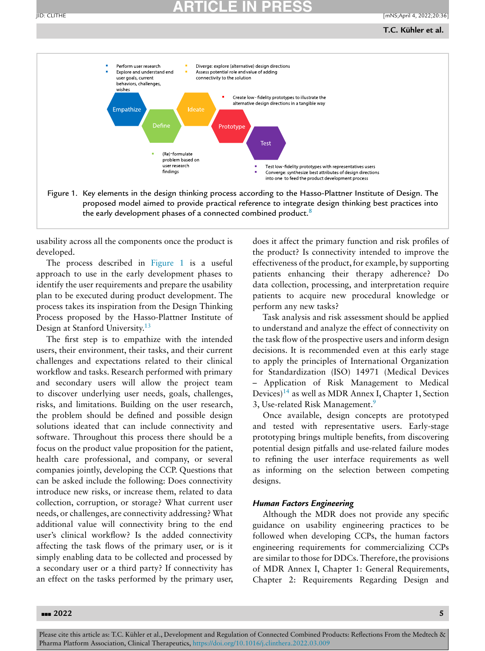

usability across all the components once the product is developed.

The process described in Figure 1 is a useful approach to use in the early development phases to identify the user requirements and prepare the usability plan to be executed during product development. The process takes its inspiration from the Design Thinking Process proposed by the Hasso-Plattner Institute of Design at Stanford University[.13](#page-13-0)

The first step is to empathize with the intended users, their environment, their tasks, and their current challenges and expectations related to their clinical workflow and tasks. Research performed with primary and secondary users will allow the project team to discover underlying user needs, goals, challenges, risks, and limitations. Building on the user research, the problem should be defined and possible design solutions ideated that can include connectivity and software. Throughout this process there should be a focus on the product value proposition for the patient, health care professional, and company, or several companies jointly, developing the CCP. Questions that can be asked include the following: Does connectivity introduce new risks, or increase them, related to data collection, corruption, or storage? What current user needs, or challenges, are connectivity addressing? What additional value will connectivity bring to the end user's clinical workflow? Is the added connectivity affecting the task flows of the primary user, or is it simply enabling data to be collected and processed by a secondary user or a third party? If connectivity has an effect on the tasks performed by the primary user, does it affect the primary function and risk profiles of the product? Is connectivity intended to improve the effectiveness of the product, for example, by supporting patients enhancing their therapy adherence? Do data collection, processing, and interpretation require patients to acquire new procedural knowledge or perform any new tasks?

Task analysis and risk assessment should be applied to understand and analyze the effect of connectivity on the task flow of the prospective users and inform design decisions. It is recommended even at this early stage to apply the principles of International Organization for Standardization (ISO) 14971 (Medical Devices – Application of Risk Management to Medical Devices)<sup>[14](#page-13-0)</sup> as well as MDR Annex I, Chapter 1, Section 3, Use-related Risk Management.<sup>9</sup>

Once available, design concepts are prototyped and tested with representative users. Early-stage prototyping brings multiple benefits, from discovering potential design pitfalls and use-related failure modes to refining the user interface requirements as well as informing on the selection between competing designs.

### *Human Factors Engineering*

Although the MDR does not provide any specific guidance on usability engineering practices to be followed when developing CCPs, the human factors engineering requirements for commercializing CCPs are similar to those for DDCs. Therefore, the provisions of MDR Annex I, Chapter 1: General Requirements, Chapter 2: Requirements Regarding Design and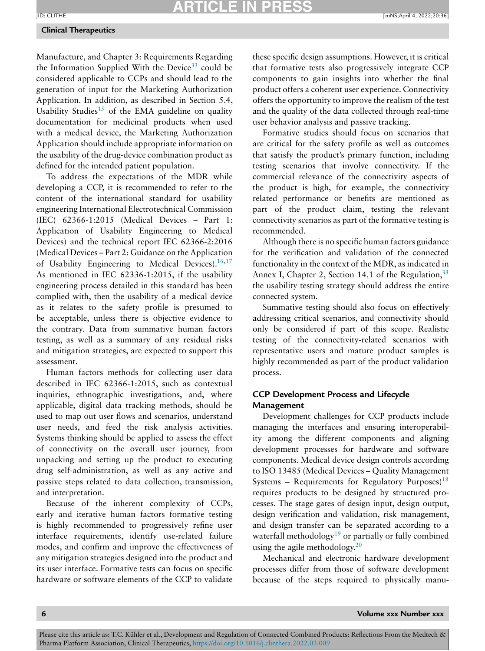### **Clinical Therapeutics**

Manufacture, and Chapter 3: Requirements Regarding the Information Supplied With the Device<sup>[33](#page-14-0)</sup> could be considered applicable to CCPs and should lead to the generation of input for the Marketing Authorization Application. In addition, as described in Section 5.4, Usability Studies<sup>[15](#page-13-0)</sup> of the EMA guideline on quality documentation for medicinal products when used with a medical device, the Marketing Authorization Application should include appropriate information on the usability of the drug-device combination product as defined for the intended patient population.

To address the expectations of the MDR while developing a CCP, it is recommended to refer to the content of the international standard for usability engineering International Electrotechnical Commission (IEC) 62366-1:2015 (Medical Devices – Part 1: Application of Usability Engineering to Medical Devices) and the technical report IEC 62366-2:2016 (Medical Devices – Part 2: Guidance on the Application of Usability Engineering to Medical Devices).<sup>16,17</sup> As mentioned in IEC 62336-1:2015, if the usability engineering process detailed in this standard has been complied with, then the usability of a medical device as it relates to the safety profile is presumed to be acceptable, unless there is objective evidence to the contrary. Data from summative human factors testing, as well as a summary of any residual risks and mitigation strategies, are expected to support this assessment.

Human factors methods for collecting user data described in IEC 62366-1:2015, such as contextual inquiries, ethnographic investigations, and, where applicable, digital data tracking methods, should be used to map out user flows and scenarios, understand user needs, and feed the risk analysis activities. Systems thinking should be applied to assess the effect of connectivity on the overall user journey, from unpacking and setting up the product to executing drug self-administration, as well as any active and passive steps related to data collection, transmission, and interpretation.

Because of the inherent complexity of CCPs, early and iterative human factors formative testing is highly recommended to progressively refine user interface requirements, identify use-related failure modes, and confirm and improve the effectiveness of any mitigation strategies designed into the product and its user interface. Formative tests can focus on specific hardware or software elements of the CCP to validate

these specific design assumptions. However, it is critical that formative tests also progressively integrate CCP components to gain insights into whether the final product offers a coherent user experience. Connectivity offers the opportunity to improve the realism of the test and the quality of the data collected through real-time user behavior analysis and passive tracking.

Formative studies should focus on scenarios that are critical for the safety profile as well as outcomes that satisfy the product's primary function, including testing scenarios that involve connectivity. If the commercial relevance of the connectivity aspects of the product is high, for example, the connectivity related performance or benefits are mentioned as part of the product claim, testing the relevant connectivity scenarios as part of the formative testing is recommended.

Although there is no specific human factors guidance for the verification and validation of the connected functionality in the context of the MDR, as indicated in Annex I, Chapter 2, Section 14.1 of the Regulation,  $33$ the usability testing strategy should address the entire connected system.

Summative testing should also focus on effectively addressing critical scenarios, and connectivity should only be considered if part of this scope. Realistic testing of the connectivity-related scenarios with representative users and mature product samples is highly recommended as part of the product validation process.

### **CCP Development Process and Lifecycle Management**

Development challenges for CCP products include managing the interfaces and ensuring interoperability among the different components and aligning development processes for hardware and software components. Medical device design controls according to ISO 13485 (Medical Devices – Quality Management Systems – Requirements for Regulatory Purposes $18$ requires products to be designed by structured processes. The stage gates of design input, design output, design verification and validation, risk management, and design transfer can be separated according to a waterfall methodology<sup>[19](#page-13-0)</sup> or partially or fully combined using the agile methodology[.20](#page-13-0)

Mechanical and electronic hardware development processes differ from those of software development because of the steps required to physically manu-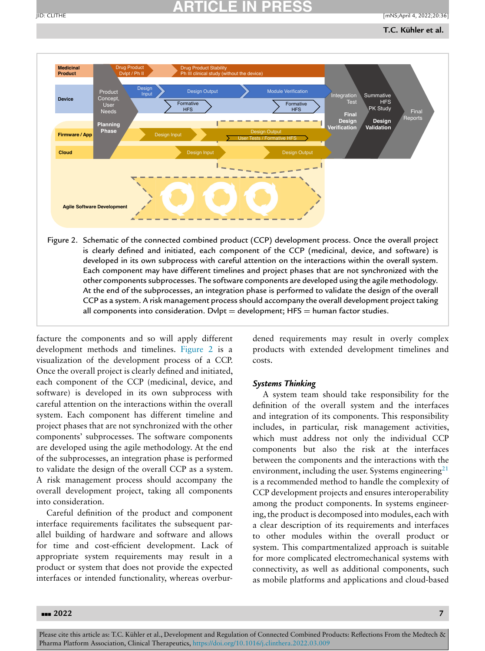

At the end of the subprocesses, an integration phase is performed to validate the design of the overall CCP as a system. A risk management process should accompany the overall development project taking all components into consideration. Dvlpt = development;  $HFS =$  human factor studies.

facture the components and so will apply different development methods and timelines. Figure 2 is a visualization of the development process of a CCP. Once the overall project is clearly defined and initiated, each component of the CCP (medicinal, device, and software) is developed in its own subprocess with careful attention on the interactions within the overall system. Each component has different timeline and project phases that are not synchronized with the other components' subprocesses. The software components are developed using the agile methodology. At the end of the subprocesses, an integration phase is performed to validate the design of the overall CCP as a system. A risk management process should accompany the overall development project, taking all components into consideration.

Careful definition of the product and component interface requirements facilitates the subsequent parallel building of hardware and software and allows for time and cost-efficient development. Lack of appropriate system requirements may result in a product or system that does not provide the expected interfaces or intended functionality, whereas overburdened requirements may result in overly complex products with extended development timelines and costs.

### *Systems Thinking*

A system team should take responsibility for the definition of the overall system and the interfaces and integration of its components. This responsibility includes, in particular, risk management activities, which must address not only the individual CCP components but also the risk at the interfaces between the components and the interactions with the environment, including the user. Systems engineering $21$ is a recommended method to handle the complexity of CCP development projects and ensures interoperability among the product components. In systems engineering, the product is decomposed into modules, each with a clear description of its requirements and interfaces to other modules within the overall product or system. This compartmentalized approach is suitable for more complicated electromechanical systems with connectivity, as well as additional components, such as mobile platforms and applications and cloud-based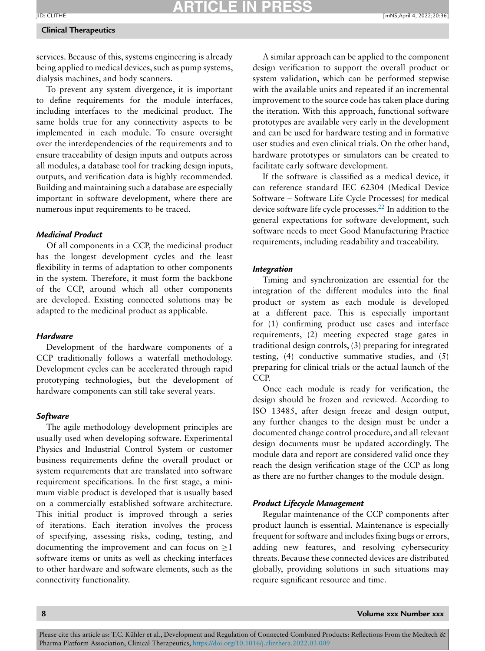### **Clinical Therapeutics**

services. Because of this, systems engineering is already being applied to medical devices, such as pump systems, dialysis machines, and body scanners.

To prevent any system divergence, it is important to define requirements for the module interfaces, including interfaces to the medicinal product. The same holds true for any connectivity aspects to be implemented in each module. To ensure oversight over the interdependencies of the requirements and to ensure traceability of design inputs and outputs across all modules, a database tool for tracking design inputs, outputs, and verification data is highly recommended. Building and maintaining such a database are especially important in software development, where there are numerous input requirements to be traced.

### *Medicinal Product*

Of all components in a CCP, the medicinal product has the longest development cycles and the least flexibility in terms of adaptation to other components in the system. Therefore, it must form the backbone of the CCP, around which all other components are developed. Existing connected solutions may be adapted to the medicinal product as applicable.

#### *Hardware*

Development of the hardware components of a CCP traditionally follows a waterfall methodology. Development cycles can be accelerated through rapid prototyping technologies, but the development of hardware components can still take several years.

### *Software*

The agile methodology development principles are usually used when developing software. Experimental Physics and Industrial Control System or customer business requirements define the overall product or system requirements that are translated into software requirement specifications. In the first stage, a minimum viable product is developed that is usually based on a commercially established software architecture. This initial product is improved through a series of iterations. Each iteration involves the process of specifying, assessing risks, coding, testing, and documenting the improvement and can focus on  $\geq 1$ software items or units as well as checking interfaces to other hardware and software elements, such as the connectivity functionality.

A similar approach can be applied to the component design verification to support the overall product or system validation, which can be performed stepwise with the available units and repeated if an incremental improvement to the source code has taken place during the iteration. With this approach, functional software prototypes are available very early in the development and can be used for hardware testing and in formative user studies and even clinical trials. On the other hand, hardware prototypes or simulators can be created to facilitate early software development.

If the software is classified as a medical device, it can reference standard IEC 62304 (Medical Device Software – Software Life Cycle Processes) for medical device software life cycle processes[.22](#page-13-0) In addition to the general expectations for software development, such software needs to meet Good Manufacturing Practice requirements, including readability and traceability.

### *Integration*

Timing and synchronization are essential for the integration of the different modules into the final product or system as each module is developed at a different pace. This is especially important for (1) confirming product use cases and interface requirements, (2) meeting expected stage gates in traditional design controls, (3) preparing for integrated testing, (4) conductive summative studies, and (5) preparing for clinical trials or the actual launch of the CCP.

Once each module is ready for verification, the design should be frozen and reviewed. According to ISO 13485, after design freeze and design output, any further changes to the design must be under a documented change control procedure, and all relevant design documents must be updated accordingly. The module data and report are considered valid once they reach the design verification stage of the CCP as long as there are no further changes to the module design.

### *Product Lifecycle Management*

Regular maintenance of the CCP components after product launch is essential. Maintenance is especially frequent for software and includes fixing bugs or errors, adding new features, and resolving cybersecurity threats. Because these connected devices are distributed globally, providing solutions in such situations may require significant resource and time.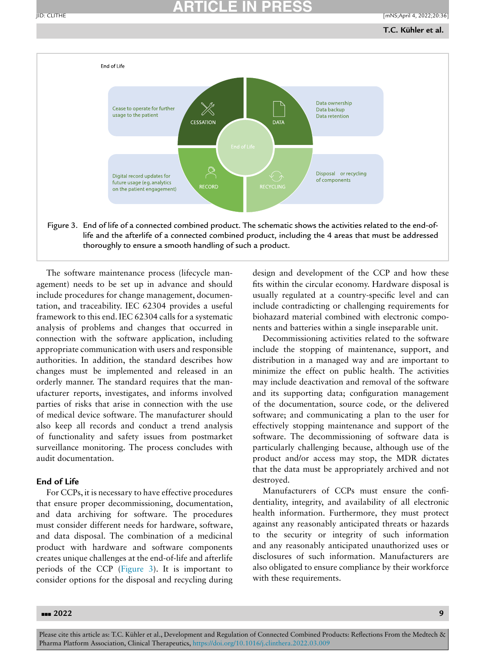

The software maintenance process (lifecycle management) needs to be set up in advance and should include procedures for change management, documentation, and traceability. IEC 62304 provides a useful framework to this end. IEC 62304 calls for a systematic analysis of problems and changes that occurred in connection with the software application, including appropriate communication with users and responsible authorities. In addition, the standard describes how changes must be implemented and released in an orderly manner. The standard requires that the manufacturer reports, investigates, and informs involved parties of risks that arise in connection with the use of medical device software. The manufacturer should also keep all records and conduct a trend analysis of functionality and safety issues from postmarket surveillance monitoring. The process concludes with audit documentation.

### **End of Life**

For CCPs, it is necessary to have effective procedures that ensure proper decommissioning, documentation, and data archiving for software. The procedures must consider different needs for hardware, software, and data disposal. The combination of a medicinal product with hardware and software components creates unique challenges at the end-of-life and afterlife periods of the CCP (Figure 3). It is important to consider options for the disposal and recycling during design and development of the CCP and how these fits within the circular economy. Hardware disposal is usually regulated at a country-specific level and can include contradicting or challenging requirements for biohazard material combined with electronic components and batteries within a single inseparable unit.

Decommissioning activities related to the software include the stopping of maintenance, support, and distribution in a managed way and are important to minimize the effect on public health. The activities may include deactivation and removal of the software and its supporting data; configuration management of the documentation, source code, or the delivered software; and communicating a plan to the user for effectively stopping maintenance and support of the software. The decommissioning of software data is particularly challenging because, although use of the product and/or access may stop, the MDR dictates that the data must be appropriately archived and not destroyed.

Manufacturers of CCPs must ensure the confidentiality, integrity, and availability of all electronic health information. Furthermore, they must protect against any reasonably anticipated threats or hazards to the security or integrity of such information and any reasonably anticipated unauthorized uses or disclosures of such information. Manufacturers are also obligated to ensure compliance by their workforce with these requirements.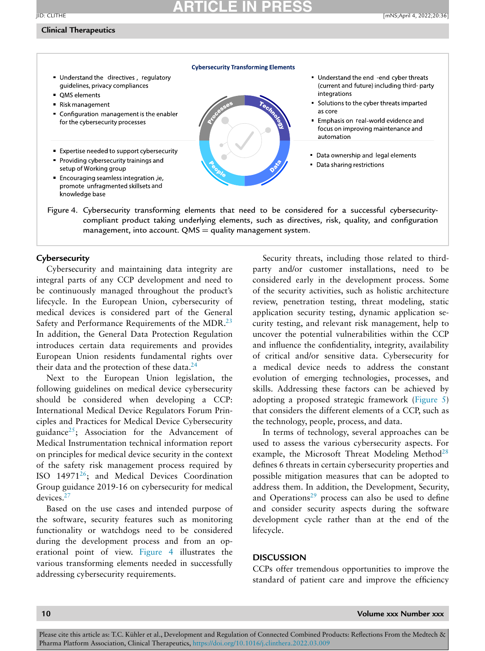### **Clinical Therapeutics**



Figure 4. Cybersecurity transforming elements that need to be considered for a successful cybersecuritycompliant product taking underlying elements, such as directives, risk, quality, and configuration management, into account.  $QMS =$  quality management system.

### **Cybersecurity**

Cybersecurity and maintaining data integrity are integral parts of any CCP development and need to be continuously managed throughout the product's lifecycle. In the European Union, cybersecurity of medical devices is considered part of the General Safety and Performance Requirements of the MDR.<sup>23</sup> In addition, the General Data Protection Regulation introduces certain data requirements and provides European Union residents fundamental rights over their data and the protection of these data. $^{24}$ 

Next to the European Union legislation, the following guidelines on medical device cybersecurity should be considered when developing a CCP: International Medical Device Regulators Forum Principles and Practices for Medical Device Cybersecurity guidance<sup>25</sup>; Association for the Advancement of Medical Instrumentation technical information report on principles for medical device security in the context of the safety risk management process required by ISO 14971[26;](#page-14-0) and Medical Devices Coordination Group guidance 2019-16 on cybersecurity for medical devices[.27](#page-14-0)

Based on the use cases and intended purpose of the software, security features such as monitoring functionality or watchdogs need to be considered during the development process and from an operational point of view. Figure 4 illustrates the various transforming elements needed in successfully addressing cybersecurity requirements.

Security threats, including those related to thirdparty and/or customer installations, need to be considered early in the development process. Some of the security activities, such as holistic architecture review, penetration testing, threat modeling, static application security testing, dynamic application security testing, and relevant risk management, help to uncover the potential vulnerabilities within the CCP and influence the confidentiality, integrity, availability of critical and/or sensitive data. Cybersecurity for a medical device needs to address the constant evolution of emerging technologies, processes, and skills. Addressing these factors can be achieved by adopting a proposed strategic framework [\(Figure](#page-10-0) 5) that considers the different elements of a CCP, such as the technology, people, process, and data.

In terms of technology, several approaches can be used to assess the various cybersecurity aspects. For example, the Microsoft Threat Modeling Method<sup>[28](#page-14-0)</sup> defines 6 threats in certain cybersecurity properties and possible mitigation measures that can be adopted to address them. In addition, the Development, Security, and Operations $29$  process can also be used to define and consider security aspects during the software development cycle rather than at the end of the lifecycle.

### **DISCUSSION**

CCPs offer tremendous opportunities to improve the standard of patient care and improve the efficiency

**10 Volume xxx Number xxx**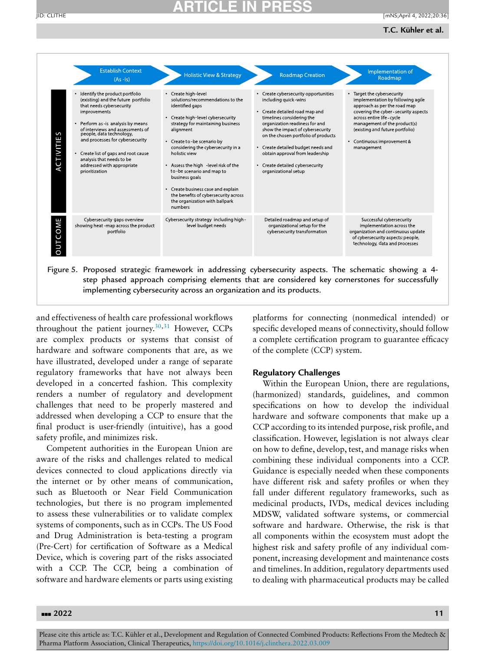### **T.C. Kühler et al.**

<span id="page-10-0"></span>

| S<br>ACTIVITIE | Identify the product portfolio<br>(existing) and the future portfolio<br>that needs cybersecurity<br>improvements<br>Perform as is analysis by means<br>of interviews and assessments of<br>people, data technology,<br>and processes for cybersecurity<br>Create list of gaps and root cause<br>analysis that needs to be<br>addressed with appropriate<br>prioritization | • Create high-level<br>solutions/recommendations to the<br>identified gaps<br>• Create high-level cybersecurity<br>strategy for maintaining business<br>alignment<br>• Create to -be scenario by<br>considering the cybersecurity in a<br>holistic view<br>• Assess the high level risk of the<br>to -be scenario and map to<br>business goals<br>• Create business case and explain<br>the benefits of cybersecurity across<br>the organization with ballpark<br>numbers | Create cybersecurity opportunities<br>including quick wins<br>• Create detailed road map and<br>timelines considering the<br>organization readiness for and<br>show the impact of cybersecurity<br>on the chosen portfolio of products<br>Create detailed budget needs and<br>obtain approval from leadership<br>• Create detailed cybersecurity<br>organizational setup | • Target the cybersecurity<br>implementation by following agile<br>approach as per the road map<br>covering the cyber - security aspects<br>across entire life - cycle<br>management of the product(s)<br>(existing and future portfolio)<br>• Continuous improvement &<br>management |
|----------------|----------------------------------------------------------------------------------------------------------------------------------------------------------------------------------------------------------------------------------------------------------------------------------------------------------------------------------------------------------------------------|---------------------------------------------------------------------------------------------------------------------------------------------------------------------------------------------------------------------------------------------------------------------------------------------------------------------------------------------------------------------------------------------------------------------------------------------------------------------------|--------------------------------------------------------------------------------------------------------------------------------------------------------------------------------------------------------------------------------------------------------------------------------------------------------------------------------------------------------------------------|---------------------------------------------------------------------------------------------------------------------------------------------------------------------------------------------------------------------------------------------------------------------------------------|
| <b>OUTCOME</b> | Cybersecurity gaps overview<br>showing heat -map across the product<br>portfolio                                                                                                                                                                                                                                                                                           | Cybersecurity strategy including high-<br>level budget needs                                                                                                                                                                                                                                                                                                                                                                                                              | Detailed roadmap and setup of<br>organizational setup for the<br>cybersecurity transformation                                                                                                                                                                                                                                                                            | Successful cybersecurity<br>implementation across the<br>organization and continuous update<br>of cybersecurity aspects: people,<br>technology, data and processes                                                                                                                    |

and effectiveness of health care professional workflows throughout the patient journey. $30,31$  However, CCPs are complex products or systems that consist of hardware and software components that are, as we have illustrated, developed under a range of separate regulatory frameworks that have not always been developed in a concerted fashion. This complexity renders a number of regulatory and development challenges that need to be properly mastered and addressed when developing a CCP to ensure that the final product is user-friendly (intuitive), has a good safety profile, and minimizes risk.

Competent authorities in the European Union are aware of the risks and challenges related to medical devices connected to cloud applications directly via the internet or by other means of communication, such as Bluetooth or Near Field Communication technologies, but there is no program implemented to assess these vulnerabilities or to validate complex systems of components, such as in CCPs. The US Food and Drug Administration is beta-testing a program (Pre-Cert) for certification of Software as a Medical Device, which is covering part of the risks associated with a CCP. The CCP, being a combination of software and hardware elements or parts using existing

platforms for connecting (nonmedical intended) or specific developed means of connectivity, should follow a complete certification program to guarantee efficacy of the complete (CCP) system.

### **Regulatory Challenges**

Within the European Union, there are regulations, (harmonized) standards, guidelines, and common specifications on how to develop the individual hardware and software components that make up a CCP according to its intended purpose, risk profile, and classification. However, legislation is not always clear on how to define, develop, test, and manage risks when combining these individual components into a CCP. Guidance is especially needed when these components have different risk and safety profiles or when they fall under different regulatory frameworks, such as medicinal products, IVDs, medical devices including MDSW, validated software systems, or commercial software and hardware. Otherwise, the risk is that all components within the ecosystem must adopt the highest risk and safety profile of any individual component, increasing development and maintenance costs and timelines. In addition, regulatory departments used to dealing with pharmaceutical products may be called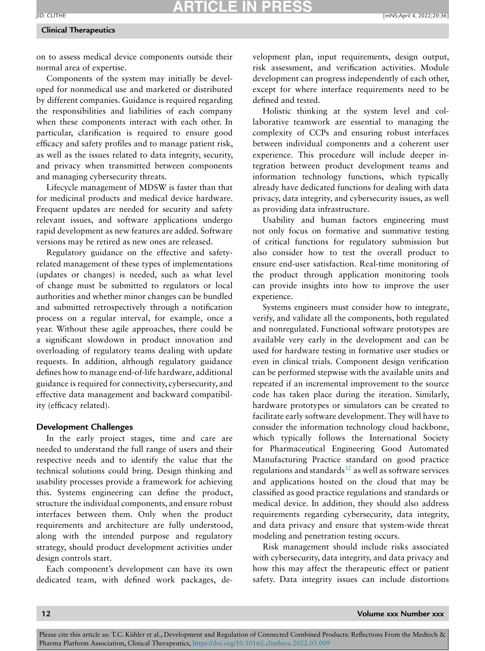#### **Clinical Therapeutics**

on to assess medical device components outside their normal area of expertise.

Components of the system may initially be developed for nonmedical use and marketed or distributed by different companies. Guidance is required regarding the responsibilities and liabilities of each company when these components interact with each other. In particular, clarification is required to ensure good efficacy and safety profiles and to manage patient risk, as well as the issues related to data integrity, security, and privacy when transmitted between components and managing cybersecurity threats.

Lifecycle management of MDSW is faster than that for medicinal products and medical device hardware. Frequent updates are needed for security and safety relevant issues, and software applications undergo rapid development as new features are added. Software versions may be retired as new ones are released.

Regulatory guidance on the effective and safetyrelated management of these types of implementations (updates or changes) is needed, such as what level of change must be submitted to regulators or local authorities and whether minor changes can be bundled and submitted retrospectively through a notification process on a regular interval, for example, once a year. Without these agile approaches, there could be a significant slowdown in product innovation and overloading of regulatory teams dealing with update requests. In addition, although regulatory guidance defines how to manage end-of-life hardware, additional guidance is required for connectivity, cybersecurity, and effective data management and backward compatibility (efficacy related).

### **Development Challenges**

In the early project stages, time and care are needed to understand the full range of users and their respective needs and to identify the value that the technical solutions could bring. Design thinking and usability processes provide a framework for achieving this. Systems engineering can define the product, structure the individual components, and ensure robust interfaces between them. Only when the product requirements and architecture are fully understood, along with the intended purpose and regulatory strategy, should product development activities under design controls start.

Each component's development can have its own dedicated team, with defined work packages, development plan, input requirements, design output, risk assessment, and verification activities. Module development can progress independently of each other, except for where interface requirements need to be defined and tested.

Holistic thinking at the system level and collaborative teamwork are essential to managing the complexity of CCPs and ensuring robust interfaces between individual components and a coherent user experience. This procedure will include deeper integration between product development teams and information technology functions, which typically already have dedicated functions for dealing with data privacy, data integrity, and cybersecurity issues, as well as providing data infrastructure.

Usability and human factors engineering must not only focus on formative and summative testing of critical functions for regulatory submission but also consider how to test the overall product to ensure end-user satisfaction. Real-time monitoring of the product through application monitoring tools can provide insights into how to improve the user experience.

Systems engineers must consider how to integrate, verify, and validate all the components, both regulated and nonregulated. Functional software prototypes are available very early in the development and can be used for hardware testing in formative user studies or even in clinical trials. Component design verification can be performed stepwise with the available units and repeated if an incremental improvement to the source code has taken place during the iteration. Similarly, hardware prototypes or simulators can be created to facilitate early software development. They will have to consider the information technology cloud backbone, which typically follows the International Society for Pharmaceutical Engineering Good Automated Manufacturing Practice standard on good practice regulations and standards $32$  as well as software services and applications hosted on the cloud that may be classified as good practice regulations and standards or medical device. In addition, they should also address requirements regarding cybersecurity, data integrity, and data privacy and ensure that system-wide threat modeling and penetration testing occurs.

Risk management should include risks associated with cybersecurity, data integrity, and data privacy and how this may affect the therapeutic effect or patient safety. Data integrity issues can include distortions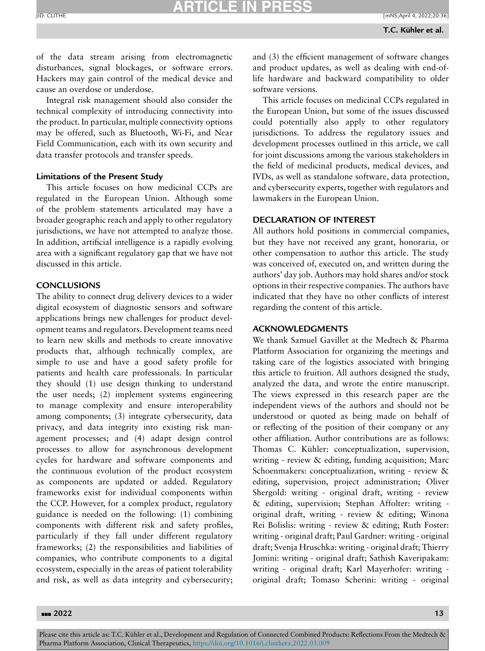of the data stream arising from electromagnetic disturbances, signal blockages, or software errors. Hackers may gain control of the medical device and cause an overdose or underdose.

Integral risk management should also consider the technical complexity of introducing connectivity into the product.In particular, multiple connectivity options may be offered, such as Bluetooth, Wi-Fi, and Near Field Communication, each with its own security and data transfer protocols and transfer speeds.

#### **Limitations of the Present Study**

This article focuses on how medicinal CCPs are regulated in the European Union. Although some of the problem statements articulated may have a broader geographic reach and apply to other regulatory jurisdictions, we have not attempted to analyze those. In addition, artificial intelligence is a rapidly evolving area with a significant regulatory gap that we have not discussed in this article.

### **CONCLUSIONS**

The ability to connect drug delivery devices to a wider digital ecosystem of diagnostic sensors and software applications brings new challenges for product development teams and regulators. Development teams need to learn new skills and methods to create innovative products that, although technically complex, are simple to use and have a good safety profile for patients and health care professionals. In particular they should (1) use design thinking to understand the user needs; (2) implement systems engineering to manage complexity and ensure interoperability among components; (3) integrate cybersecurity, data privacy, and data integrity into existing risk management processes; and (4) adapt design control processes to allow for asynchronous development cycles for hardware and software components and the continuous evolution of the product ecosystem as components are updated or added. Regulatory frameworks exist for individual components within the CCP. However, for a complex product, regulatory guidance is needed on the following: (1) combining components with different risk and safety profiles, particularly if they fall under different regulatory frameworks; (2) the responsibilities and liabilities of companies, who contribute components to a digital ecosystem, especially in the areas of patient tolerability and risk, as well as data integrity and cybersecurity;

and (3) the efficient management of software changes and product updates, as well as dealing with end-oflife hardware and backward compatibility to older software versions.

This article focuses on medicinal CCPs regulated in the European Union, but some of the issues discussed could potentially also apply to other regulatory jurisdictions. To address the regulatory issues and development processes outlined in this article, we call for joint discussions among the various stakeholders in the field of medicinal products, medical devices, and IVDs, as well as standalone software, data protection, and cybersecurity experts, together with regulators and lawmakers in the European Union.

### **DECLARATION OF INTEREST**

All authors hold positions in commercial companies, but they have not received any grant, honoraria, or other compensation to author this article. The study was conceived of, executed on, and written during the authors' day job. Authors may hold shares and/or stock options in their respective companies.The authors have indicated that they have no other conflicts of interest regarding the content of this article.

### **ACKNOWLEDGMENTS**

We thank Samuel Gavillet at the Medtech & Pharma Platform Association for organizing the meetings and taking care of the logistics associated with bringing this article to fruition. All authors designed the study, analyzed the data, and wrote the entire manuscript. The views expressed in this research paper are the independent views of the authors and should not be understood or quoted as being made on behalf of or reflecting of the position of their company or any other affiliation. Author contributions are as follows: Thomas C. Kühler: conceptualization, supervision, writing - review & editing, funding acquisition; Marc Schoenmakers: conceptualization, writing - review & editing, supervision, project administration; Oliver Shergold: writing - original draft, writing - review & editing, supervision; Stephan Affolter: writing original draft, writing - review & editing; Winona Rei Bolislis: writing - review & editing; Ruth Foster: writing - original draft; Paul Gardner: writing - original draft; Svenja Hruschka: writing - original draft; Thierry Jomini: writing - original draft; Sathish Kaveripakam: writing - original draft; Karl Mayerhofer: writing original draft; Tomaso Scherini: writing - original

#### ---**2022 13**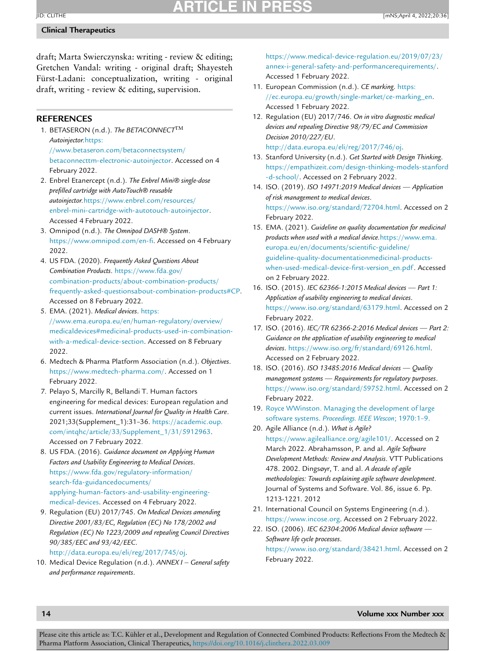### <span id="page-13-0"></span>**Clinical Therapeutics**

draft; Marta Swierczynska: writing - review & editing; Gretchen Vandal: writing - original draft; Shayesteh Fürst-Ladani: conceptualization, writing - original draft, writing - review & editing, supervision.

### **REFERENCES**

- 1. BETASERON (n.d.). *The BETACONNECT*TM *Autoinjector.*https: [//www.betaseron.com/betaconnectsystem/](https://www.betaseron.com/betaconnectsystem/betaconnecttm-electronic-autoinjector) betaconnecttm-electronic-autoinjector. Accessed on 4 February 2022.
- 2. Enbrel Etanercept (n.d.). *The Enbrel Mini® single-dose prefilled cartridge with AutoTouch® reusable autoinjector.*https://www.enbrel.com/resources/ [enbrel-mini-cartridge-with-autotouch-autoinjector.](https://www.enbrel.com/resources/enbrel-mini-cartridge-with-autotouch-autoinjector) Accessed 4 February 2022.
- 3. Omnipod (n.d.). *The Omnipod DASH® System*. [https://www.omnipod.com/en-fi.](https://www.omnipod.com/en-fi) Accessed on 4 February 2022.
- 4. US FDA. (2020). *Frequently Asked Questions About Combination Products*. https://www.fda.gov/ combination-products/about-combination-products/ [frequently-asked-questionsabout-combination-products#CP.](https://www.fda.gov/combination-products/about-combination-products/frequently-asked-questionsabout-combination-products#CP) Accessed on 8 February 2022.
- 5. EMA. (2021). *Medical devices*. https: //www.ema.europa.eu/en/human-regulatory/overview/ [medicaldevices#medicinal-products-used-in-combination](https://www.ema.europa.eu/en/human-regulatory/overview/medicaldevices#medicinal-products-used-in-combination-with-a-medical-device-section)with-a-medical-device-section. Accessed on 8 February 2022.
- 6. Medtech & Pharma Platform Association (n.d.). *Objectives*. [https://www.medtech-pharma.com/.](https://www.medtech-pharma.com/) Accessed on 1 February 2022.
- 7. Pelayo S, Marcilly R, Bellandi T. Human factors engineering for medical devices: European regulation and current issues. *International Journal for Quality in Health Care*. 2021;33(Supplement\_1):31–36. https://academic.oup. [com/intqhc/article/33/Supplement\\_1/31/5912963.](https://academic.oup.com/intqhc/article/33/Supplement_1/31/5912963) Accessed on 7 February 2022.
- 8. US FDA. (2016). *Guidance document on Applying Human Factors and Usability Engineering to Medical Devices*. https://www.fda.gov/regulatory-information/ search-fda-guidancedocuments/ [applying-human-factors-and-usability-engineering](https://www.fda.gov/regulatory-information/search-fda-guidancedocuments/applying-human-factors-and-usability-engineering-medical-devices)medical-devices. Accessed on 4 February 2022.
- 9. Regulation (EU) 2017/745. *On Medical Devices amending Directive 2001/83/EC, Regulation (EC) No 178/2002 and Regulation (EC) No 1223/2009 and repealing Council Directives 90/385/EEC and 93/42/EEC*.

[http://data.europa.eu/eli/reg/2017/745/oj.](http://data.europa.eu/eli/reg/2017/745/oj)

10. Medical Device Regulation (n.d.). *ANNEX I – General safety and performance requirements*.

[https://www.medical-device-regulation.eu/2019/07/23/](https://www.medical-device-regulation.eu/2019/07/23/annex-i-general-safety-and-performancerequirements/) annex-i-general-safety-and-performancerequirements/. Accessed 1 February 2022.

- 11. European Commission (n.d.). *CE marking*. https: [//ec.europa.eu/growth/single-market/ce-marking\\_en.](https://ec.europa.eu/growth/single-market/ce-marking_en) Accessed 1 February 2022.
- 12. Regulation (EU) 2017/746. *On in vitro diagnostic medical devices and repealing Directive 98/79/EC and Commission Decision 2010/227/EU*. [http://data.europa.eu/eli/reg/2017/746/oj.](http://data.europa.eu/eli/reg/2017/746/oj)
- 13. Stanford University (n.d.). *Get Started with Design Thinking*. [https://empathizeit.com/design-thinking-models-stanford](https://empathizeit.com/design-thinking-models-stanford-d-school/) -d-school/. Accessed on 2 February 2022.
- 14. ISO. (2019). *ISO 14971:2019 Medical devices Application of risk management to medical devices*. [https://www.iso.org/standard/72704.html.](https://www.iso.org/standard/72704.html) Accessed on 2 February 2022.
- 15. EMA. (2021). *Guideline on quality documentation for medicinal products when used with a medical device.*https://www.ema. europa.eu/en/documents/scientific-guideline/ [guideline-quality-documentationmedicinal-products](https://www.ema.europa.eu/en/documents/scientific-guideline/guideline-quality-documentationmedicinal-products-when-used-medical-device-first-version_en.pdf)when-used-medical-device-first-version\_en.pdf. Accessed on 2 February 2022.
- 16. ISO. (2015). *IEC 62366-1:2015 Medical devices Part 1: Application of usability engineering to medical devices*. [https://www.iso.org/standard/63179.html.](https://www.iso.org/standard/63179.html) Accessed on 2 February 2022.
- 17. ISO. (2016). *IEC/TR 62366-2:2016 Medical devices Part 2: Guidance on the application of usability engineering to medical devices*. [https://www.iso.org/fr/standard/69126.html.](https://www.iso.org/fr/standard/69126.html) Accessed on 2 February 2022.
- 18. ISO. (2016). *ISO 13485:2016 Medical devices Quality management systems — Requirements for regulatory purposes*. [https://www.iso.org/standard/59752.html.](https://www.iso.org/standard/59752.html) Accessed on 2 February 2022.
- 19. Royce [WWinston.](http://refhub.elsevier.com/S0149-2918(22)00112-6/sbref0019) Managing the [development](http://refhub.elsevier.com/S0149-2918(22)00112-6/sbref0019) of large software systems. *Proceedings. IEEE Wescon*; 1970:1–9.
- 20. Agile Alliance (n.d.). *What is Agile?* [https://www.agilealliance.org/agile101/.](https://www.agilealliance.org/agile101/) Accessed on 2 March 2022. Abrahamsson, P. and al. *Agile Software Development Methods: Review and Analysis*. VTT Publications 478. 2002. Dingsøyr, T. and al. *A decade of agile methodologies: Towards explaining agile software development*. Journal of Systems and Software. Vol. 86, issue 6. Pp. 1213-1221. 2012
- 21. International Council on Systems Engineering (n.d.). [https://www.incose.org.](https://www.incose.org) Accessed on 2 February 2022.
- 22. ISO. (2006). *IEC 62304:2006 Medical device software — Software life cycle processes*. [https://www.iso.org/standard/38421.html.](https://www.iso.org/standard/38421.html) Accessed on 2 February 2022.